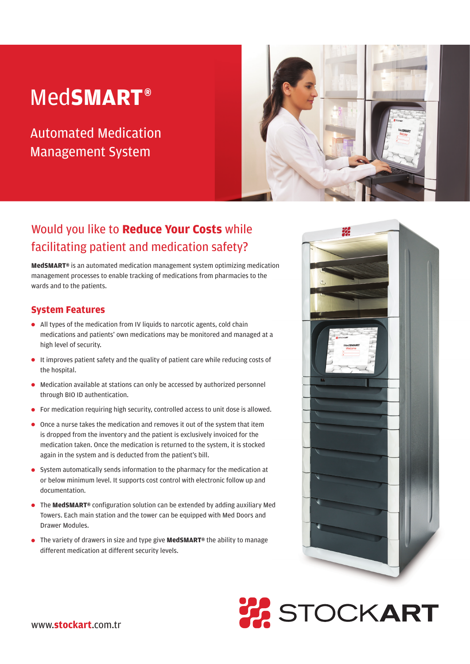# Med**SMART®**

Automated Medication Management System



## Would you like to **Reduce Your Costs** while facilitating patient and medication safety?

**MedSMART®** is an automated medication management system optimizing medication management processes to enable tracking of medications from pharmacies to the wards and to the patients.

## **System Features**

- All types of the medication from IV liquids to narcotic agents, cold chain medications and patients' own medications may be monitored and managed at a high level of security.
- $\bullet$  It improves patient safety and the quality of patient care while reducing costs of the hospital.
- Medication available at stations can only be accessed by authorized personnel through BIO ID authentication.
- **•** For medication requiring high security, controlled access to unit dose is allowed.
- Once a nurse takes the medication and removes it out of the system that item is dropped from the inventory and the patient is exclusively invoiced for the medication taken. Once the medication is returned to the system, it is stocked again in the system and is deducted from the patient's bill.
- System automatically sends information to the pharmacy for the medication at or below minimum level. It supports cost control with electronic follow up and documentation.
- The **MedSMART®** configuration solution can be extended by adding auxiliary Med Towers. Each main station and the tower can be equipped with Med Doors and Drawer Modules.
- The variety of drawers in size and type give **MedSMART®** the ability to manage different medication at different security levels.